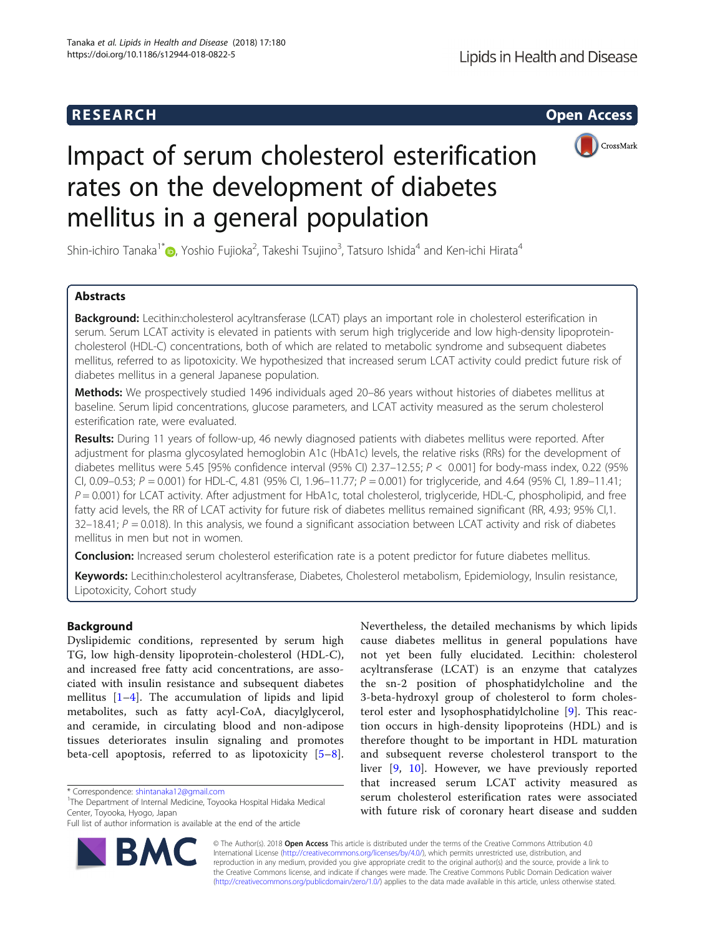# **RESEARCH RESEARCH CONSUMING ACCESS**



# Impact of serum cholesterol esterification rates on the development of diabetes mellitus in a general population

Shin-ichiro Tanaka<sup>1\*</sup>�, Yoshio Fujioka<sup>2</sup>, Takeshi Tsujino<sup>3</sup>, Tatsuro Ishida<sup>4</sup> and Ken-ichi Hirata<sup>4</sup>

# **Abstracts**

Background: Lecithin:cholesterol acyltransferase (LCAT) plays an important role in cholesterol esterification in serum. Serum LCAT activity is elevated in patients with serum high triglyceride and low high-density lipoproteincholesterol (HDL-C) concentrations, both of which are related to metabolic syndrome and subsequent diabetes mellitus, referred to as lipotoxicity. We hypothesized that increased serum LCAT activity could predict future risk of diabetes mellitus in a general Japanese population.

Methods: We prospectively studied 1496 individuals aged 20-86 years without histories of diabetes mellitus at baseline. Serum lipid concentrations, glucose parameters, and LCAT activity measured as the serum cholesterol esterification rate, were evaluated.

Results: During 11 years of follow-up, 46 newly diagnosed patients with diabetes mellitus were reported. After adjustment for plasma glycosylated hemoglobin A1c (HbA1c) levels, the relative risks (RRs) for the development of diabetes mellitus were 5.45 [95% confidence interval (95% CI) 2.37-12.55;  $P < 0.001$ ] for body-mass index, 0.22 (95% CI, 0.09–0.53;  $P = 0.001$ ) for HDL-C, 4.81 (95% CI, 1.96–11.77;  $P = 0.001$ ) for triglyceride, and 4.64 (95% CI, 1.89–11.41;  $P = 0.001$ ) for LCAT activity. After adjustment for HbA1c, total cholesterol, triglyceride, HDL-C, phospholipid, and free fatty acid levels, the RR of LCAT activity for future risk of diabetes mellitus remained significant (RR, 4.93; 95% CI,1.  $32-18.41; P = 0.018$ ). In this analysis, we found a significant association between LCAT activity and risk of diabetes mellitus in men but not in women.

Conclusion: Increased serum cholesterol esterification rate is a potent predictor for future diabetes mellitus.

Keywords: Lecithin:cholesterol acyltransferase, Diabetes, Cholesterol metabolism, Epidemiology, Insulin resistance, Lipotoxicity, Cohort study

# Background

Dyslipidemic conditions, represented by serum high TG, low high-density lipoprotein-cholesterol (HDL-C), and increased free fatty acid concentrations, are associated with insulin resistance and subsequent diabetes mellitus [[1](#page-6-0)–[4\]](#page-6-0). The accumulation of lipids and lipid metabolites, such as fatty acyl-CoA, diacylglycerol, and ceramide, in circulating blood and non-adipose tissues deteriorates insulin signaling and promotes beta-cell apoptosis, referred to as lipotoxicity [[5](#page-7-0)–[8](#page-7-0)].

<sup>1</sup>The Department of Internal Medicine, Toyooka Hospital Hidaka Medical Center, Toyooka, Hyogo, Japan

Full list of author information is available at the end of the article



Nevertheless, the detailed mechanisms by which lipids cause diabetes mellitus in general populations have not yet been fully elucidated. Lecithin: cholesterol acyltransferase (LCAT) is an enzyme that catalyzes the sn-2 position of phosphatidylcholine and the 3-beta-hydroxyl group of cholesterol to form cholesterol ester and lysophosphatidylcholine [\[9](#page-7-0)]. This reaction occurs in high-density lipoproteins (HDL) and is therefore thought to be important in HDL maturation and subsequent reverse cholesterol transport to the liver [\[9](#page-7-0), [10\]](#page-7-0). However, we have previously reported that increased serum LCAT activity measured as serum cholesterol esterification rates were associated with future risk of coronary heart disease and sudden

© The Author(s). 2018 Open Access This article is distributed under the terms of the Creative Commons Attribution 4.0 International License [\(http://creativecommons.org/licenses/by/4.0/](http://creativecommons.org/licenses/by/4.0/)), which permits unrestricted use, distribution, and reproduction in any medium, provided you give appropriate credit to the original author(s) and the source, provide a link to the Creative Commons license, and indicate if changes were made. The Creative Commons Public Domain Dedication waiver [\(http://creativecommons.org/publicdomain/zero/1.0/](http://creativecommons.org/publicdomain/zero/1.0/)) applies to the data made available in this article, unless otherwise stated.

<sup>\*</sup> Correspondence: [shintanaka12@gmail.com](mailto:shintanaka12@gmail.com) <sup>1</sup>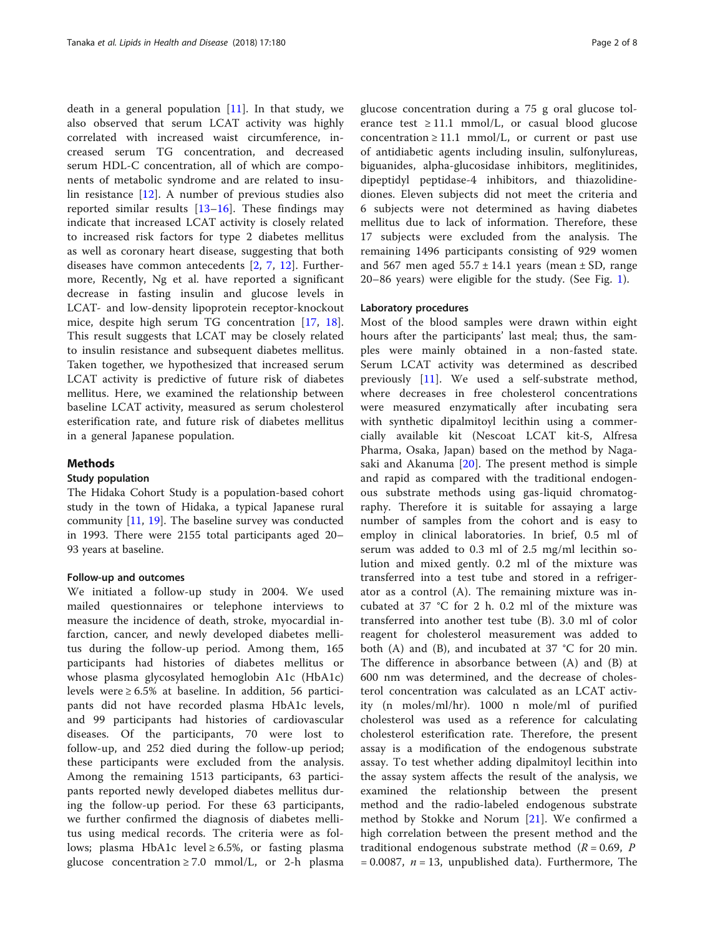death in a general population  $[11]$  $[11]$ . In that study, we also observed that serum LCAT activity was highly correlated with increased waist circumference, increased serum TG concentration, and decreased serum HDL-C concentration, all of which are components of metabolic syndrome and are related to insulin resistance [\[12](#page-7-0)]. A number of previous studies also reported similar results [[13](#page-7-0)–[16\]](#page-7-0). These findings may indicate that increased LCAT activity is closely related to increased risk factors for type 2 diabetes mellitus as well as coronary heart disease, suggesting that both diseases have common antecedents [\[2](#page-6-0), [7](#page-7-0), [12](#page-7-0)]. Furthermore, Recently, Ng et al. have reported a significant decrease in fasting insulin and glucose levels in LCAT- and low-density lipoprotein receptor-knockout mice, despite high serum TG concentration [[17,](#page-7-0) [18](#page-7-0)]. This result suggests that LCAT may be closely related to insulin resistance and subsequent diabetes mellitus. Taken together, we hypothesized that increased serum LCAT activity is predictive of future risk of diabetes mellitus. Here, we examined the relationship between baseline LCAT activity, measured as serum cholesterol esterification rate, and future risk of diabetes mellitus in a general Japanese population.

## Methods

## Study population

The Hidaka Cohort Study is a population-based cohort study in the town of Hidaka, a typical Japanese rural community [[11,](#page-7-0) [19](#page-7-0)]. The baseline survey was conducted in 1993. There were 2155 total participants aged 20– 93 years at baseline.

## Follow-up and outcomes

We initiated a follow-up study in 2004. We used mailed questionnaires or telephone interviews to measure the incidence of death, stroke, myocardial infarction, cancer, and newly developed diabetes mellitus during the follow-up period. Among them, 165 participants had histories of diabetes mellitus or whose plasma glycosylated hemoglobin A1c (HbA1c) levels were ≥ 6.5% at baseline. In addition, 56 participants did not have recorded plasma HbA1c levels, and 99 participants had histories of cardiovascular diseases. Of the participants, 70 were lost to follow-up, and 252 died during the follow-up period; these participants were excluded from the analysis. Among the remaining 1513 participants, 63 participants reported newly developed diabetes mellitus during the follow-up period. For these 63 participants, we further confirmed the diagnosis of diabetes mellitus using medical records. The criteria were as follows; plasma HbA1c level  $\geq 6.5\%$ , or fasting plasma glucose concentration  $\geq 7.0$  mmol/L, or 2-h plasma glucose concentration during a 75 g oral glucose tolerance test  $\geq$  11.1 mmol/L, or casual blood glucose concentration  $\geq 11.1$  mmol/L, or current or past use of antidiabetic agents including insulin, sulfonylureas, biguanides, alpha-glucosidase inhibitors, meglitinides, dipeptidyl peptidase-4 inhibitors, and thiazolidinediones. Eleven subjects did not meet the criteria and 6 subjects were not determined as having diabetes mellitus due to lack of information. Therefore, these 17 subjects were excluded from the analysis. The remaining 1496 participants consisting of 929 women and 567 men aged  $55.7 \pm 14.1$  years (mean  $\pm$  SD, range 20–86 years) were eligible for the study. (See Fig. [1\)](#page-2-0).

## Laboratory procedures

Most of the blood samples were drawn within eight hours after the participants' last meal; thus, the samples were mainly obtained in a non-fasted state. Serum LCAT activity was determined as described previously [[11\]](#page-7-0). We used a self-substrate method, where decreases in free cholesterol concentrations were measured enzymatically after incubating sera with synthetic dipalmitoyl lecithin using a commercially available kit (Nescoat LCAT kit-S, Alfresa Pharma, Osaka, Japan) based on the method by Nagasaki and Akanuma  $[20]$  $[20]$  $[20]$ . The present method is simple and rapid as compared with the traditional endogenous substrate methods using gas-liquid chromatography. Therefore it is suitable for assaying a large number of samples from the cohort and is easy to employ in clinical laboratories. In brief, 0.5 ml of serum was added to 0.3 ml of 2.5 mg/ml lecithin solution and mixed gently. 0.2 ml of the mixture was transferred into a test tube and stored in a refrigerator as a control (A). The remaining mixture was incubated at 37 °C for 2 h. 0.2 ml of the mixture was transferred into another test tube (B). 3.0 ml of color reagent for cholesterol measurement was added to both (A) and (B), and incubated at  $37 \text{ °C}$  for 20 min. The difference in absorbance between (A) and (B) at 600 nm was determined, and the decrease of cholesterol concentration was calculated as an LCAT activity (n moles/ml/hr). 1000 n mole/ml of purified cholesterol was used as a reference for calculating cholesterol esterification rate. Therefore, the present assay is a modification of the endogenous substrate assay. To test whether adding dipalmitoyl lecithin into the assay system affects the result of the analysis, we examined the relationship between the present method and the radio-labeled endogenous substrate method by Stokke and Norum [\[21](#page-7-0)]. We confirmed a high correlation between the present method and the traditional endogenous substrate method  $(R = 0.69, P)$  $= 0.0087$ ,  $n = 13$ , unpublished data). Furthermore, The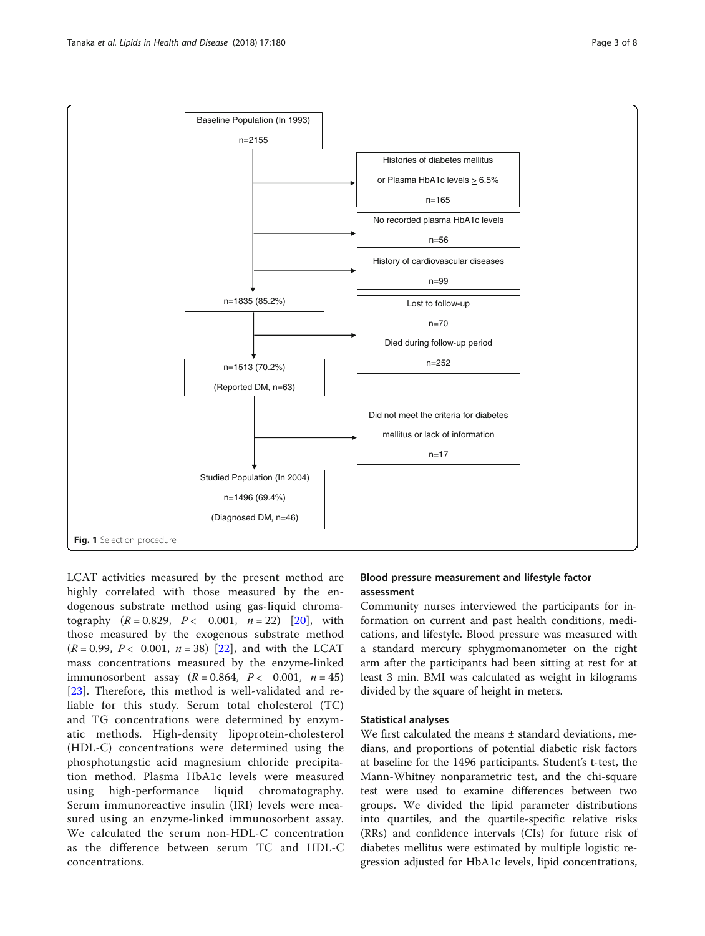<span id="page-2-0"></span>

LCAT activities measured by the present method are highly correlated with those measured by the endogenous substrate method using gas-liquid chromatography  $(R = 0.829, P < 0.001, n = 22)$  [[20\]](#page-7-0), with those measured by the exogenous substrate method  $(R = 0.99, P < 0.001, n = 38)$  [\[22](#page-7-0)], and with the LCAT mass concentrations measured by the enzyme-linked immunosorbent assay  $(R = 0.864, P < 0.001, n = 45)$ [[23\]](#page-7-0). Therefore, this method is well-validated and reliable for this study. Serum total cholesterol (TC) and TG concentrations were determined by enzymatic methods. High-density lipoprotein-cholesterol (HDL-C) concentrations were determined using the phosphotungstic acid magnesium chloride precipitation method. Plasma HbA1c levels were measured using high-performance liquid chromatography. Serum immunoreactive insulin (IRI) levels were measured using an enzyme-linked immunosorbent assay. We calculated the serum non-HDL-C concentration as the difference between serum TC and HDL-C concentrations.

# Blood pressure measurement and lifestyle factor assessment

Community nurses interviewed the participants for information on current and past health conditions, medications, and lifestyle. Blood pressure was measured with a standard mercury sphygmomanometer on the right arm after the participants had been sitting at rest for at least 3 min. BMI was calculated as weight in kilograms divided by the square of height in meters.

## Statistical analyses

We first calculated the means ± standard deviations, medians, and proportions of potential diabetic risk factors at baseline for the 1496 participants. Student's t-test, the Mann-Whitney nonparametric test, and the chi-square test were used to examine differences between two groups. We divided the lipid parameter distributions into quartiles, and the quartile-specific relative risks (RRs) and confidence intervals (CIs) for future risk of diabetes mellitus were estimated by multiple logistic regression adjusted for HbA1c levels, lipid concentrations,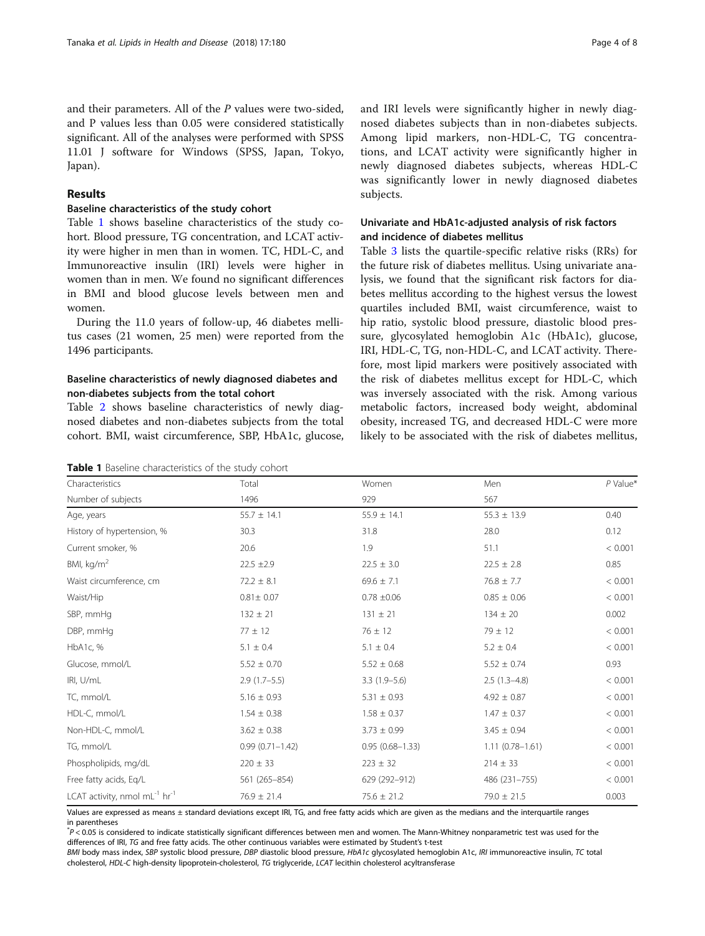and their parameters. All of the P values were two-sided, and P values less than 0.05 were considered statistically significant. All of the analyses were performed with SPSS 11.01 J software for Windows (SPSS, Japan, Tokyo, Japan).

# Results

## Baseline characteristics of the study cohort

Table 1 shows baseline characteristics of the study cohort. Blood pressure, TG concentration, and LCAT activity were higher in men than in women. TC, HDL-C, and Immunoreactive insulin (IRI) levels were higher in women than in men. We found no significant differences in BMI and blood glucose levels between men and women.

During the 11.0 years of follow-up, 46 diabetes mellitus cases (21 women, 25 men) were reported from the 1496 participants.

# Baseline characteristics of newly diagnosed diabetes and non-diabetes subjects from the total cohort

Table [2](#page-4-0) shows baseline characteristics of newly diagnosed diabetes and non-diabetes subjects from the total cohort. BMI, waist circumference, SBP, HbA1c, glucose,

| <b>Table 1</b> Baseline characteristics of the study cohort |  |  |  |  |  |
|-------------------------------------------------------------|--|--|--|--|--|
|-------------------------------------------------------------|--|--|--|--|--|

and IRI levels were significantly higher in newly diagnosed diabetes subjects than in non-diabetes subjects. Among lipid markers, non-HDL-C, TG concentrations, and LCAT activity were significantly higher in newly diagnosed diabetes subjects, whereas HDL-C was significantly lower in newly diagnosed diabetes subjects.

# Univariate and HbA1c-adjusted analysis of risk factors and incidence of diabetes mellitus

Table [3](#page-5-0) lists the quartile-specific relative risks (RRs) for the future risk of diabetes mellitus. Using univariate analysis, we found that the significant risk factors for diabetes mellitus according to the highest versus the lowest quartiles included BMI, waist circumference, waist to hip ratio, systolic blood pressure, diastolic blood pressure, glycosylated hemoglobin A1c (HbA1c), glucose, IRI, HDL-C, TG, non-HDL-C, and LCAT activity. Therefore, most lipid markers were positively associated with the risk of diabetes mellitus except for HDL-C, which was inversely associated with the risk. Among various metabolic factors, increased body weight, abdominal obesity, increased TG, and decreased HDL-C were more likely to be associated with the risk of diabetes mellitus,

| Characteristics                                | Total               | Women               | Men                 | $P$ Value* |
|------------------------------------------------|---------------------|---------------------|---------------------|------------|
| Number of subjects                             | 1496                | 929                 | 567                 |            |
| Age, years                                     | $55.7 \pm 14.1$     | $55.9 \pm 14.1$     | $55.3 \pm 13.9$     | 0.40       |
| History of hypertension, %                     | 30.3                | 31.8                | 28.0                | 0.12       |
| Current smoker, %                              | 20.6                | 1.9                 | 51.1                | < 0.001    |
| BMI, $kg/m2$                                   | $22.5 \pm 2.9$      | $22.5 \pm 3.0$      | $22.5 \pm 2.8$      | 0.85       |
| Waist circumference, cm                        | $72.2 \pm 8.1$      | $69.6 \pm 7.1$      | $76.8 \pm 7.7$      | < 0.001    |
| Waist/Hip                                      | $0.81 \pm 0.07$     | $0.78 \pm 0.06$     | $0.85 \pm 0.06$     | < 0.001    |
| SBP, mmHq                                      | $132 \pm 21$        | $131 \pm 21$        | $134 \pm 20$        | 0.002      |
| DBP, mmHq                                      | $77 \pm 12$         | $76 \pm 12$         | $79 \pm 12$         | < 0.001    |
| HbA1c, %                                       | $5.1 \pm 0.4$       | $5.1 \pm 0.4$       | $5.2 \pm 0.4$       | < 0.001    |
| Glucose, mmol/L                                | $5.52 \pm 0.70$     | $5.52 \pm 0.68$     | $5.52 \pm 0.74$     | 0.93       |
| IRI, U/mL                                      | $2.9(1.7-5.5)$      | $3.3(1.9-5.6)$      | $2.5(1.3-4.8)$      | < 0.001    |
| TC, mmol/L                                     | $5.16 \pm 0.93$     | $5.31 \pm 0.93$     | $4.92 \pm 0.87$     | < 0.001    |
| HDL-C, mmol/L                                  | $1.54 \pm 0.38$     | $1.58 \pm 0.37$     | $1.47 \pm 0.37$     | < 0.001    |
| Non-HDL-C, mmol/L                              | $3.62 \pm 0.38$     | $3.73 \pm 0.99$     | $3.45 \pm 0.94$     | < 0.001    |
| TG, mmol/L                                     | $0.99(0.71 - 1.42)$ | $0.95(0.68 - 1.33)$ | $1.11(0.78 - 1.61)$ | < 0.001    |
| Phospholipids, mg/dL                           | $220 \pm 33$        | $223 \pm 32$        | $214 \pm 33$        | < 0.001    |
| Free fatty acids, Eq/L                         | 561 (265-854)       | 629 (292-912)       | 486 (231-755)       | < 0.001    |
| LCAT activity, nmol $mL^{-1}$ hr <sup>-1</sup> | $76.9 \pm 21.4$     | $75.6 \pm 21.2$     | $79.0 \pm 21.5$     | 0.003      |

Values are expressed as means ± standard deviations except IRI, TG, and free fatty acids which are given as the medians and the interquartile ranges in parentheses

 $P < 0.05$  is considered to indicate statistically significant differences between men and women. The Mann-Whitney nonparametric test was used for the differences of IRI, TG and free fatty acids. The other continuous variables were estimated by Student's t-test

BMI body mass index, SBP systolic blood pressure, DBP diastolic blood pressure, HbA1c glycosylated hemoglobin A1c, IRI immunoreactive insulin, TC total cholesterol, HDL-C high-density lipoprotein-cholesterol, TG triglyceride, LCAT lecithin cholesterol acyltransferase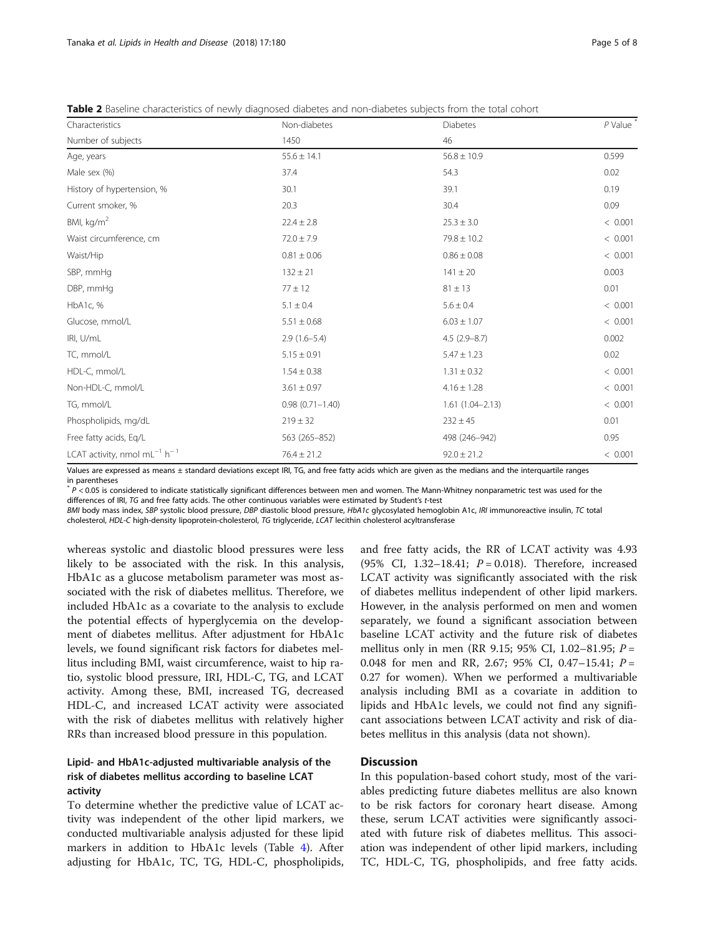| Characteristics                                | Non-diabetes        | <b>Diabetes</b>     | $P$ Value |
|------------------------------------------------|---------------------|---------------------|-----------|
| Number of subjects                             | 1450                | 46                  |           |
| Age, years                                     | $55.6 \pm 14.1$     | $56.8 \pm 10.9$     | 0.599     |
| Male sex (%)                                   | 37.4                | 54.3                | 0.02      |
| History of hypertension, %                     | 30.1                | 39.1                | 0.19      |
| Current smoker, %                              | 20.3                | 30.4                | 0.09      |
| BMI, $kg/m2$                                   | $22.4 \pm 2.8$      | $25.3 \pm 3.0$      | < 0.001   |
| Waist circumference, cm                        | $72.0 \pm 7.9$      | $79.8 \pm 10.2$     | < 0.001   |
| Waist/Hip                                      | $0.81 \pm 0.06$     | $0.86 \pm 0.08$     | < 0.001   |
| SBP, mmHg                                      | $132 \pm 21$        | $141 \pm 20$        | 0.003     |
| DBP, mmHg                                      | $77 \pm 12$         | $81 \pm 13$         | 0.01      |
| HbA1c, %                                       | $5.1 \pm 0.4$       | $5.6 \pm 0.4$       | < 0.001   |
| Glucose, mmol/L                                | $5.51 \pm 0.68$     | $6.03 \pm 1.07$     | < 0.001   |
| IRI, U/mL                                      | $2.9(1.6-5.4)$      | $4.5(2.9 - 8.7)$    | 0.002     |
| TC, mmol/L                                     | $5.15 \pm 0.91$     | $5.47 \pm 1.23$     | 0.02      |
| HDL-C, mmol/L                                  | $1.54 \pm 0.38$     | $1.31 \pm 0.32$     | < 0.001   |
| Non-HDL-C, mmol/L                              | $3.61 \pm 0.97$     | $4.16 \pm 1.28$     | < 0.001   |
| TG, mmol/L                                     | $0.98(0.71 - 1.40)$ | $1.61(1.04 - 2.13)$ | < 0.001   |
| Phospholipids, mg/dL                           | $219 \pm 32$        | $232 \pm 45$        | 0.01      |
| Free fatty acids, Eq/L                         | 563 (265-852)       | 498 (246-942)       | 0.95      |
| LCAT activity, nmol mL $^{-1}$ h <sup>-1</sup> | $76.4 \pm 21.2$     | $92.0 \pm 21.2$     | < 0.001   |

<span id="page-4-0"></span>Table 2 Baseline characteristics of newly diagnosed diabetes and non-diabetes subjects from the total cohort

Values are expressed as means ± standard deviations except IRI, TG, and free fatty acids which are given as the medians and the interquartile ranges in parentheses

 $P < 0.05$  is considered to indicate statistically significant differences between men and women. The Mann-Whitney nonparametric test was used for the differences of IRI, TG and free fatty acids. The other continuous variables were estimated by Student's t-test

BMI body mass index, SBP systolic blood pressure, DBP diastolic blood pressure, HbA1c glycosylated hemoglobin A1c, IRI immunoreactive insulin, TC total cholesterol, HDL-C high-density lipoprotein-cholesterol, TG triglyceride, LCAT lecithin cholesterol acyltransferase

whereas systolic and diastolic blood pressures were less likely to be associated with the risk. In this analysis, HbA1c as a glucose metabolism parameter was most associated with the risk of diabetes mellitus. Therefore, we included HbA1c as a covariate to the analysis to exclude the potential effects of hyperglycemia on the development of diabetes mellitus. After adjustment for HbA1c levels, we found significant risk factors for diabetes mellitus including BMI, waist circumference, waist to hip ratio, systolic blood pressure, IRI, HDL-C, TG, and LCAT activity. Among these, BMI, increased TG, decreased HDL-C, and increased LCAT activity were associated with the risk of diabetes mellitus with relatively higher RRs than increased blood pressure in this population.

# Lipid- and HbA1c-adjusted multivariable analysis of the risk of diabetes mellitus according to baseline LCAT activity

To determine whether the predictive value of LCAT activity was independent of the other lipid markers, we conducted multivariable analysis adjusted for these lipid markers in addition to HbA1c levels (Table [4\)](#page-5-0). After adjusting for HbA1c, TC, TG, HDL-C, phospholipids, and free fatty acids, the RR of LCAT activity was 4.93 (95% CI, 1.32–18.41;  $P = 0.018$ ). Therefore, increased LCAT activity was significantly associated with the risk of diabetes mellitus independent of other lipid markers. However, in the analysis performed on men and women separately, we found a significant association between baseline LCAT activity and the future risk of diabetes mellitus only in men (RR 9.15; 95% CI, 1.02-81.95;  $P =$ 0.048 for men and RR, 2.67; 95% CI, 0.47-15.41;  $P =$ 0.27 for women). When we performed a multivariable analysis including BMI as a covariate in addition to lipids and HbA1c levels, we could not find any significant associations between LCAT activity and risk of diabetes mellitus in this analysis (data not shown).

# **Discussion**

In this population-based cohort study, most of the variables predicting future diabetes mellitus are also known to be risk factors for coronary heart disease. Among these, serum LCAT activities were significantly associated with future risk of diabetes mellitus. This association was independent of other lipid markers, including TC, HDL-C, TG, phospholipids, and free fatty acids.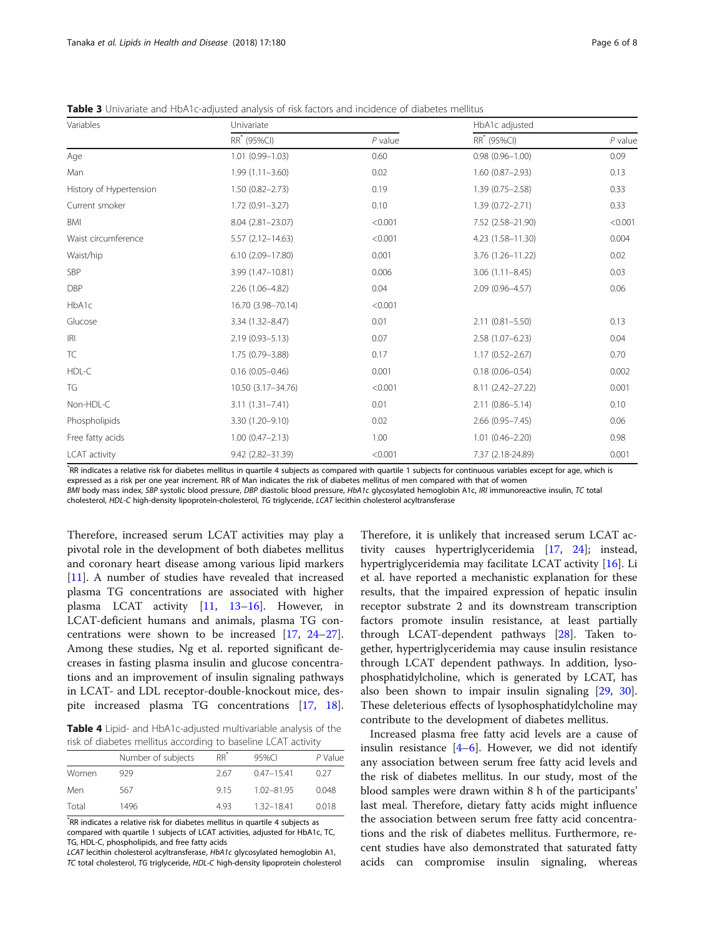<span id="page-5-0"></span>Table 3 Univariate and HbA1c-adjusted analysis of risk factors and incidence of diabetes mellitus

| Variables               | Univariate              |           | HbA1c adjusted          |           |
|-------------------------|-------------------------|-----------|-------------------------|-----------|
|                         | RR <sup>*</sup> (95%CI) | $P$ value | RR <sup>*</sup> (95%Cl) | $P$ value |
| Age                     | $1.01(0.99 - 1.03)$     | 0.60      | $0.98(0.96 - 1.00)$     | 0.09      |
| Man                     | $1.99(1.11 - 3.60)$     | 0.02      | $1.60(0.87 - 2.93)$     | 0.13      |
| History of Hypertension | $1.50(0.82 - 2.73)$     | 0.19      | $1.39(0.75 - 2.58)$     | 0.33      |
| Current smoker          | $1.72(0.91 - 3.27)$     | 0.10      | $1.39(0.72 - 2.71)$     | 0.33      |
| <b>BMI</b>              | 8.04 (2.81-23.07)       | < 0.001   | 7.52 (2.58-21.90)       | < 0.001   |
| Waist circumference     | $5.57(2.12 - 14.63)$    | < 0.001   | 4.23 (1.58-11.30)       | 0.004     |
| Waist/hip               | $6.10(2.09 - 17.80)$    | 0.001     | 3.76 (1.26-11.22)       | 0.02      |
| <b>SBP</b>              | 3.99 (1.47-10.81)       | 0.006     | $3.06(1.11 - 8.45)$     | 0.03      |
| <b>DBP</b>              | 2.26 (1.06-4.82)        | 0.04      | 2.09 (0.96-4.57)        | 0.06      |
| HbA1c                   | 16.70 (3.98-70.14)      | < 0.001   |                         |           |
| Glucose                 | 3.34 (1.32-8.47)        | 0.01      | $2.11(0.81 - 5.50)$     | 0.13      |
| IRI                     | $2.19(0.93 - 5.13)$     | 0.07      | $2.58(1.07 - 6.23)$     | 0.04      |
| <b>TC</b>               | 1.75 (0.79-3.88)        | 0.17      | $1.17(0.52 - 2.67)$     | 0.70      |
| HDL-C                   | $0.16(0.05 - 0.46)$     | 0.001     | $0.18(0.06 - 0.54)$     | 0.002     |
| TG                      | 10.50 (3.17-34.76)      | < 0.001   | 8.11 (2.42-27.22)       | 0.001     |
| Non-HDL-C               | $3.11(1.31 - 7.41)$     | 0.01      | $2.11(0.86 - 5.14)$     | 0.10      |
| Phospholipids           | 3.30 (1.20-9.10)        | 0.02      | 2.66 (0.95-7.45)        | 0.06      |
| Free fatty acids        | $1.00(0.47 - 2.13)$     | 1.00      | $1.01(0.46 - 2.20)$     | 0.98      |
| <b>LCAT</b> activity    | 9.42 (2.82-31.39)       | < 0.001   | 7.37 (2.18-24.89)       | 0.001     |

\* RR indicates a relative risk for diabetes mellitus in quartile 4 subjects as compared with quartile 1 subjects for continuous variables except for age, which is

expressed as a risk per one year increment. RR of Man indicates the risk of diabetes mellitus of men compared with that of women

BMI body mass index, SBP systolic blood pressure, DBP diastolic blood pressure, HbA1c glycosylated hemoglobin A1c, IRI immunoreactive insulin, TC total cholesterol, HDL-C high-density lipoprotein-cholesterol, TG triglyceride, LCAT lecithin cholesterol acyltransferase

Therefore, increased serum LCAT activities may play a pivotal role in the development of both diabetes mellitus and coronary heart disease among various lipid markers [[11\]](#page-7-0). A number of studies have revealed that increased plasma TG concentrations are associated with higher plasma LCAT activity [[11,](#page-7-0) [13](#page-7-0)–[16](#page-7-0)]. However, in LCAT-deficient humans and animals, plasma TG concentrations were shown to be increased [[17,](#page-7-0) [24](#page-7-0)–[27](#page-7-0)]. Among these studies, Ng et al. reported significant decreases in fasting plasma insulin and glucose concentrations and an improvement of insulin signaling pathways in LCAT- and LDL receptor-double-knockout mice, despite increased plasma TG concentrations [[17](#page-7-0), [18](#page-7-0)].

Table 4 Lipid- and HbA1c-adjusted multivariable analysis of the risk of diabetes mellitus according to baseline LCAT activity

|       | Number of subjects | $RR^*$ | 95%CI          | P Value |
|-------|--------------------|--------|----------------|---------|
| Women | 929                | 267    | $0.47 - 15.41$ | 0.27    |
| Men   | 567                | 915    | 1.02-81.95     | 0.048   |
| Total | 1496               | 493    | 1.32-18.41     | 0.018   |

\* RR indicates a relative risk for diabetes mellitus in quartile 4 subjects as compared with quartile 1 subjects of LCAT activities, adjusted for HbA1c, TC, TG, HDL-C, phospholipids, and free fatty acids

LCAT lecithin cholesterol acyltransferase, HbA1c glycosylated hemoglobin A1, TC total cholesterol, TG triglyceride, HDL-C high-density lipoprotein cholesterol

Therefore, it is unlikely that increased serum LCAT activity causes hypertriglyceridemia [[17](#page-7-0), [24\]](#page-7-0); instead, hypertriglyceridemia may facilitate LCAT activity [\[16](#page-7-0)]. Li et al. have reported a mechanistic explanation for these results, that the impaired expression of hepatic insulin receptor substrate 2 and its downstream transcription factors promote insulin resistance, at least partially through LCAT-dependent pathways [[28\]](#page-7-0). Taken together, hypertriglyceridemia may cause insulin resistance through LCAT dependent pathways. In addition, lysophosphatidylcholine, which is generated by LCAT, has also been shown to impair insulin signaling [\[29,](#page-7-0) [30](#page-7-0)]. These deleterious effects of lysophosphatidylcholine may contribute to the development of diabetes mellitus.

Increased plasma free fatty acid levels are a cause of insulin resistance  $[4-6]$  $[4-6]$  $[4-6]$  $[4-6]$  $[4-6]$ . However, we did not identify any association between serum free fatty acid levels and the risk of diabetes mellitus. In our study, most of the blood samples were drawn within 8 h of the participants' last meal. Therefore, dietary fatty acids might influence the association between serum free fatty acid concentrations and the risk of diabetes mellitus. Furthermore, recent studies have also demonstrated that saturated fatty acids can compromise insulin signaling, whereas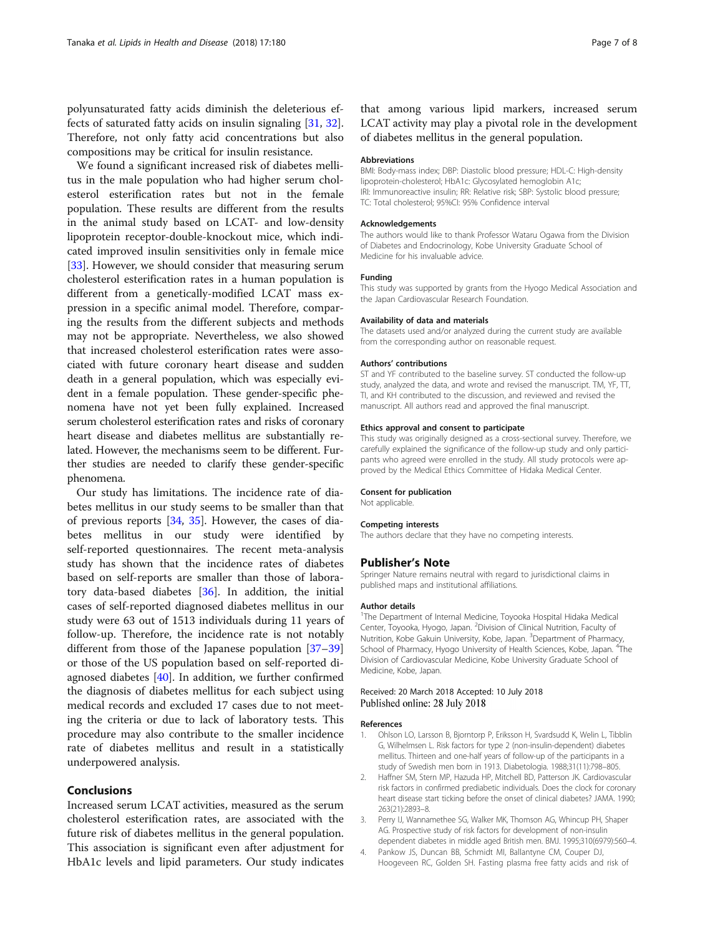<span id="page-6-0"></span>polyunsaturated fatty acids diminish the deleterious effects of saturated fatty acids on insulin signaling [\[31](#page-7-0), [32](#page-7-0)]. Therefore, not only fatty acid concentrations but also compositions may be critical for insulin resistance.

We found a significant increased risk of diabetes mellitus in the male population who had higher serum cholesterol esterification rates but not in the female population. These results are different from the results in the animal study based on LCAT- and low-density lipoprotein receptor-double-knockout mice, which indicated improved insulin sensitivities only in female mice [[33\]](#page-7-0). However, we should consider that measuring serum cholesterol esterification rates in a human population is different from a genetically-modified LCAT mass expression in a specific animal model. Therefore, comparing the results from the different subjects and methods may not be appropriate. Nevertheless, we also showed that increased cholesterol esterification rates were associated with future coronary heart disease and sudden death in a general population, which was especially evident in a female population. These gender-specific phenomena have not yet been fully explained. Increased serum cholesterol esterification rates and risks of coronary heart disease and diabetes mellitus are substantially related. However, the mechanisms seem to be different. Further studies are needed to clarify these gender-specific phenomena.

Our study has limitations. The incidence rate of diabetes mellitus in our study seems to be smaller than that of previous reports [[34,](#page-7-0) [35\]](#page-7-0). However, the cases of diabetes mellitus in our study were identified by self-reported questionnaires. The recent meta-analysis study has shown that the incidence rates of diabetes based on self-reports are smaller than those of laboratory data-based diabetes [[36\]](#page-7-0). In addition, the initial cases of self-reported diagnosed diabetes mellitus in our study were 63 out of 1513 individuals during 11 years of follow-up. Therefore, the incidence rate is not notably different from those of the Japanese population [[37](#page-7-0)–[39](#page-7-0)] or those of the US population based on self-reported diagnosed diabetes [[40](#page-7-0)]. In addition, we further confirmed the diagnosis of diabetes mellitus for each subject using medical records and excluded 17 cases due to not meeting the criteria or due to lack of laboratory tests. This procedure may also contribute to the smaller incidence rate of diabetes mellitus and result in a statistically underpowered analysis.

## Conclusions

Increased serum LCAT activities, measured as the serum cholesterol esterification rates, are associated with the future risk of diabetes mellitus in the general population. This association is significant even after adjustment for HbA1c levels and lipid parameters. Our study indicates

that among various lipid markers, increased serum LCAT activity may play a pivotal role in the development of diabetes mellitus in the general population.

#### Abbreviations

BMI: Body-mass index; DBP: Diastolic blood pressure; HDL-C: High-density lipoprotein-cholesterol; HbA1c: Glycosylated hemoglobin A1c; IRI: Immunoreactive insulin; RR: Relative risk; SBP: Systolic blood pressure; TC: Total cholesterol; 95%CI: 95% Confidence interval

#### Acknowledgements

The authors would like to thank Professor Wataru Ogawa from the Division of Diabetes and Endocrinology, Kobe University Graduate School of Medicine for his invaluable advice.

#### Funding

This study was supported by grants from the Hyogo Medical Association and the Japan Cardiovascular Research Foundation.

## Availability of data and materials

The datasets used and/or analyzed during the current study are available from the corresponding author on reasonable request.

#### Authors' contributions

ST and YF contributed to the baseline survey. ST conducted the follow-up study, analyzed the data, and wrote and revised the manuscript. TM, YF, TT, TI, and KH contributed to the discussion, and reviewed and revised the manuscript. All authors read and approved the final manuscript.

#### Ethics approval and consent to participate

This study was originally designed as a cross-sectional survey. Therefore, we carefully explained the significance of the follow-up study and only participants who agreed were enrolled in the study. All study protocols were approved by the Medical Ethics Committee of Hidaka Medical Center.

#### Consent for publication

Not applicable.

#### Competing interests

The authors declare that they have no competing interests.

#### Publisher's Note

Springer Nature remains neutral with regard to jurisdictional claims in published maps and institutional affiliations.

#### Author details

<sup>1</sup>The Department of Internal Medicine, Toyooka Hospital Hidaka Medical Center, Toyooka, Hyogo, Japan. <sup>2</sup> Division of Clinical Nutrition, Faculty of Nutrition, Kobe Gakuin University, Kobe, Japan. <sup>3</sup>Department of Pharmacy, School of Pharmacy, Hyogo University of Health Sciences, Kobe, Japan. <sup>4</sup>The Division of Cardiovascular Medicine, Kobe University Graduate School of Medicine, Kobe, Japan.

#### Received: 20 March 2018 Accepted: 10 July 2018 Published online: 28 July 2018

#### References

- 1. Ohlson LO, Larsson B, Bjorntorp P, Eriksson H, Svardsudd K, Welin L, Tibblin G, Wilhelmsen L. Risk factors for type 2 (non-insulin-dependent) diabetes mellitus. Thirteen and one-half years of follow-up of the participants in a study of Swedish men born in 1913. Diabetologia. 1988;31(11):798–805.
- 2. Haffner SM, Stern MP, Hazuda HP, Mitchell BD, Patterson JK. Cardiovascular risk factors in confirmed prediabetic individuals. Does the clock for coronary heart disease start ticking before the onset of clinical diabetes? JAMA. 1990; 263(21):2893–8.
- 3. Perry IJ, Wannamethee SG, Walker MK, Thomson AG, Whincup PH, Shaper AG. Prospective study of risk factors for development of non-insulin dependent diabetes in middle aged British men. BMJ. 1995;310(6979):560–4.
- 4. Pankow JS, Duncan BB, Schmidt MI, Ballantyne CM, Couper DJ, Hoogeveen RC, Golden SH. Fasting plasma free fatty acids and risk of